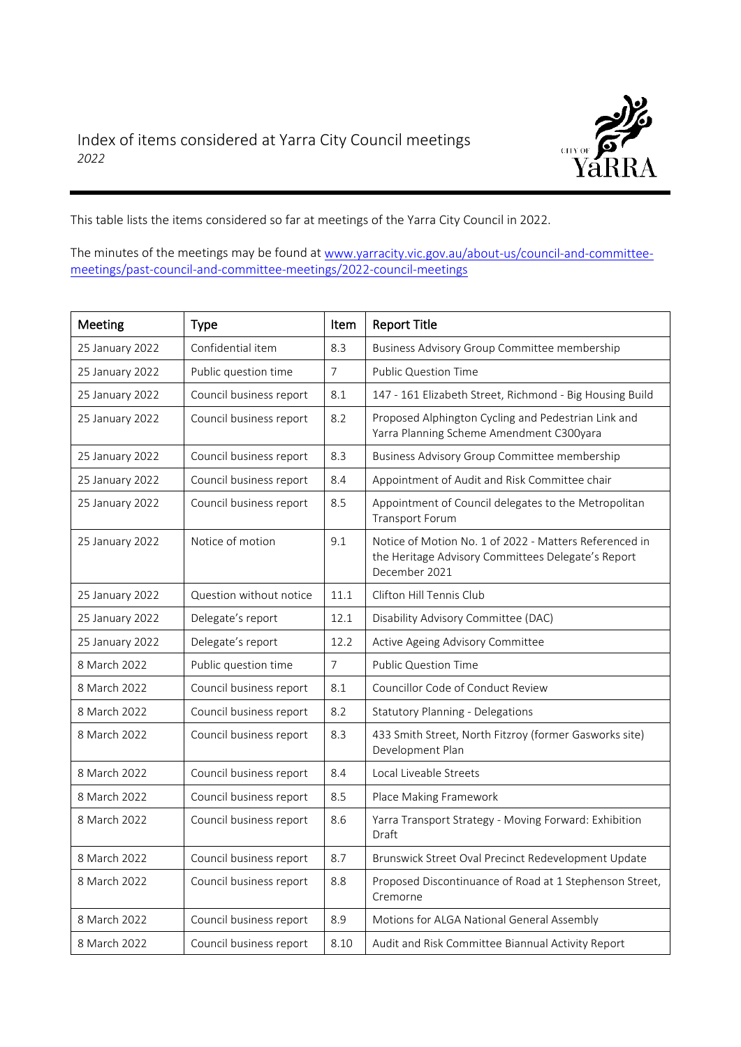

This table lists the items considered so far at meetings of the Yarra City Council in 2022.

The minutes of the meetings may be found at [www.yarracity.vic.gov.au/about-us/council-and-committee](http://www.yarracity.vic.gov.au/about-us/council-and-committee-meetings/past-council-and-committee-meetings/2022-council-meetings)[meetings/past-council-and-committee-meetings/2022-council-meetings](http://www.yarracity.vic.gov.au/about-us/council-and-committee-meetings/past-council-and-committee-meetings/2022-council-meetings)

| Meeting         | <b>Type</b>             | Item           | <b>Report Title</b>                                                                                                           |
|-----------------|-------------------------|----------------|-------------------------------------------------------------------------------------------------------------------------------|
| 25 January 2022 | Confidential item       | 8.3            | Business Advisory Group Committee membership                                                                                  |
| 25 January 2022 | Public question time    | $\overline{7}$ | <b>Public Question Time</b>                                                                                                   |
| 25 January 2022 | Council business report | 8.1            | 147 - 161 Elizabeth Street, Richmond - Big Housing Build                                                                      |
| 25 January 2022 | Council business report | 8.2            | Proposed Alphington Cycling and Pedestrian Link and<br>Yarra Planning Scheme Amendment C300yara                               |
| 25 January 2022 | Council business report | 8.3            | Business Advisory Group Committee membership                                                                                  |
| 25 January 2022 | Council business report | 8.4            | Appointment of Audit and Risk Committee chair                                                                                 |
| 25 January 2022 | Council business report | 8.5            | Appointment of Council delegates to the Metropolitan<br><b>Transport Forum</b>                                                |
| 25 January 2022 | Notice of motion        | 9.1            | Notice of Motion No. 1 of 2022 - Matters Referenced in<br>the Heritage Advisory Committees Delegate's Report<br>December 2021 |
| 25 January 2022 | Question without notice | 11.1           | Clifton Hill Tennis Club                                                                                                      |
| 25 January 2022 | Delegate's report       | 12.1           | Disability Advisory Committee (DAC)                                                                                           |
| 25 January 2022 | Delegate's report       | 12.2           | Active Ageing Advisory Committee                                                                                              |
| 8 March 2022    | Public question time    | $\overline{7}$ | <b>Public Question Time</b>                                                                                                   |
| 8 March 2022    | Council business report | 8.1            | Councillor Code of Conduct Review                                                                                             |
| 8 March 2022    | Council business report | 8.2            | <b>Statutory Planning - Delegations</b>                                                                                       |
| 8 March 2022    | Council business report | 8.3            | 433 Smith Street, North Fitzroy (former Gasworks site)<br>Development Plan                                                    |
| 8 March 2022    | Council business report | 8.4            | Local Liveable Streets                                                                                                        |
| 8 March 2022    | Council business report | 8.5            | Place Making Framework                                                                                                        |
| 8 March 2022    | Council business report | 8.6            | Yarra Transport Strategy - Moving Forward: Exhibition<br>Draft                                                                |
| 8 March 2022    | Council business report | 8.7            | Brunswick Street Oval Precinct Redevelopment Update                                                                           |
| 8 March 2022    | Council business report | 8.8            | Proposed Discontinuance of Road at 1 Stephenson Street,<br>Cremorne                                                           |
| 8 March 2022    | Council business report | 8.9            | Motions for ALGA National General Assembly                                                                                    |
| 8 March 2022    | Council business report | 8.10           | Audit and Risk Committee Biannual Activity Report                                                                             |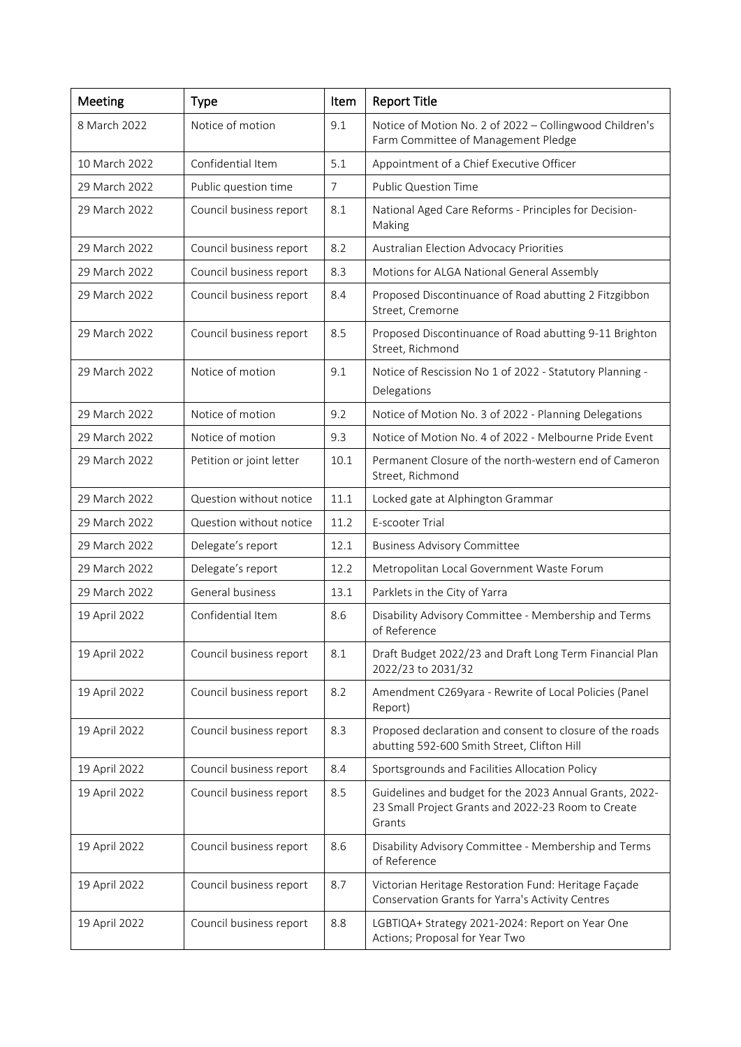| Meeting       | <b>Type</b>              | Item           | <b>Report Title</b>                                                                                                     |
|---------------|--------------------------|----------------|-------------------------------------------------------------------------------------------------------------------------|
| 8 March 2022  | Notice of motion         | 9.1            | Notice of Motion No. 2 of 2022 - Collingwood Children's<br>Farm Committee of Management Pledge                          |
| 10 March 2022 | Confidential Item        | 5.1            | Appointment of a Chief Executive Officer                                                                                |
| 29 March 2022 | Public question time     | $\overline{7}$ | <b>Public Question Time</b>                                                                                             |
| 29 March 2022 | Council business report  | 8.1            | National Aged Care Reforms - Principles for Decision-<br>Making                                                         |
| 29 March 2022 | Council business report  | 8.2            | Australian Election Advocacy Priorities                                                                                 |
| 29 March 2022 | Council business report  | 8.3            | Motions for ALGA National General Assembly                                                                              |
| 29 March 2022 | Council business report  | 8.4            | Proposed Discontinuance of Road abutting 2 Fitzgibbon<br>Street, Cremorne                                               |
| 29 March 2022 | Council business report  | 8.5            | Proposed Discontinuance of Road abutting 9-11 Brighton<br>Street, Richmond                                              |
| 29 March 2022 | Notice of motion         | 9.1            | Notice of Rescission No 1 of 2022 - Statutory Planning -<br>Delegations                                                 |
| 29 March 2022 | Notice of motion         | 9.2            | Notice of Motion No. 3 of 2022 - Planning Delegations                                                                   |
| 29 March 2022 | Notice of motion         | 9.3            | Notice of Motion No. 4 of 2022 - Melbourne Pride Event                                                                  |
| 29 March 2022 | Petition or joint letter | 10.1           | Permanent Closure of the north-western end of Cameron<br>Street, Richmond                                               |
| 29 March 2022 | Question without notice  | 11.1           | Locked gate at Alphington Grammar                                                                                       |
| 29 March 2022 | Question without notice  | 11.2           | E-scooter Trial                                                                                                         |
| 29 March 2022 | Delegate's report        | 12.1           | <b>Business Advisory Committee</b>                                                                                      |
| 29 March 2022 | Delegate's report        | 12.2           | Metropolitan Local Government Waste Forum                                                                               |
| 29 March 2022 | General business         | 13.1           | Parklets in the City of Yarra                                                                                           |
| 19 April 2022 | Confidential Item        | 8.6            | Disability Advisory Committee - Membership and Terms<br>of Reference                                                    |
| 19 April 2022 | Council business report  | 8.1            | Draft Budget 2022/23 and Draft Long Term Financial Plan<br>2022/23 to 2031/32                                           |
| 19 April 2022 | Council business report  | 8.2            | Amendment C269yara - Rewrite of Local Policies (Panel<br>Report)                                                        |
| 19 April 2022 | Council business report  | 8.3            | Proposed declaration and consent to closure of the roads<br>abutting 592-600 Smith Street, Clifton Hill                 |
| 19 April 2022 | Council business report  | 8.4            | Sportsgrounds and Facilities Allocation Policy                                                                          |
| 19 April 2022 | Council business report  | 8.5            | Guidelines and budget for the 2023 Annual Grants, 2022-<br>23 Small Project Grants and 2022-23 Room to Create<br>Grants |
| 19 April 2022 | Council business report  | 8.6            | Disability Advisory Committee - Membership and Terms<br>of Reference                                                    |
| 19 April 2022 | Council business report  | 8.7            | Victorian Heritage Restoration Fund: Heritage Façade<br>Conservation Grants for Yarra's Activity Centres                |
| 19 April 2022 | Council business report  | 8.8            | LGBTIQA+ Strategy 2021-2024: Report on Year One<br>Actions; Proposal for Year Two                                       |